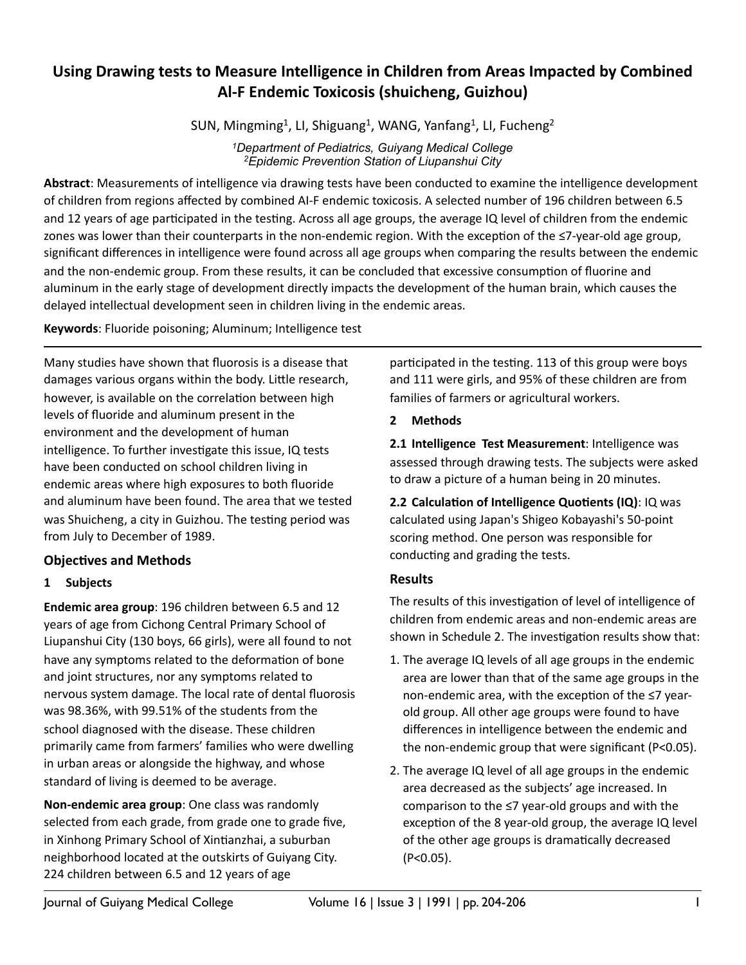# Using Drawing tests to Measure Intelligence in Children from Areas Impacted by Combined **Al-F Endemic Toxicosis (shuicheng, Guizhou)**

SUN, Mingming<sup>1</sup>, LI, Shiguang<sup>1</sup>, WANG, Yanfang<sup>1</sup>, LI, Fucheng<sup>2</sup>

*1Department of Pediatrics, Guiyang Medical College 2Epidemic Prevention Station of Liupanshui City*

Abstract: Measurements of intelligence via drawing tests have been conducted to examine the intelligence development of children from regions affected by combined AI-F endemic toxicosis. A selected number of 196 children between 6.5 and 12 years of age participated in the testing. Across all age groups, the average IQ level of children from the endemic zones was lower than their counterparts in the non-endemic region. With the exception of the  $\leq 7$ -year-old age group, significant differences in intelligence were found across all age groups when comparing the results between the endemic and the non-endemic group. From these results, it can be concluded that excessive consumption of fluorine and aluminum in the early stage of development directly impacts the development of the human brain, which causes the delayed intellectual development seen in children living in the endemic areas.

**Keywords:** Fluoride poisoning; Aluminum; Intelligence test

Many studies have shown that fluorosis is a disease that damages various organs within the body. Little research, however, is available on the correlation between high levels of fluoride and aluminum present in the environment and the development of human intelligence. To further investigate this issue, IQ tests have been conducted on school children living in endemic areas where high exposures to both fluoride and aluminum have been found. The area that we tested was Shuicheng, a city in Guizhou. The testing period was from July to December of 1989.

# **Objectives and Methods**

## **1 Subjects**

**Endemic area group**: 196 children between 6.5 and 12 years of age from Cichong Central Primary School of Liupanshui City (130 boys, 66 girls), were all found to not have any symptoms related to the deformation of bone and joint structures, nor any symptoms related to nervous system damage. The local rate of dental fluorosis was 98.36%, with 99.51% of the students from the school diagnosed with the disease. These children primarily came from farmers' families who were dwelling in urban areas or alongside the highway, and whose standard of living is deemed to be average.

**Non-endemic area group:** One class was randomly selected from each grade, from grade one to grade five, in Xinhong Primary School of Xintianzhai, a suburban neighborhood located at the outskirts of Guiyang City. 224 children between 6.5 and 12 years of age

participated in the testing. 113 of this group were boys and 111 were girls, and 95% of these children are from families of farmers or agricultural workers.

## **2 Methods**

**2.1 Intelligence Test Measurement:** Intelligence was assessed through drawing tests. The subjects were asked to draw a picture of a human being in 20 minutes.

**2.2 Calculation of Intelligence Quotients (IQ): IQ was** calculated using Japan's Shigeo Kobayashi's 50-point scoring method. One person was responsible for conducting and grading the tests.

# **Results**

The results of this investigation of level of intelligence of children from endemic areas and non-endemic areas are shown in Schedule 2. The investigation results show that:

- 1. The average IQ levels of all age groups in the endemic area are lower than that of the same age groups in the non-endemic area, with the exception of the  $\leq$ 7 yearold group. All other age groups were found to have differences in intelligence between the endemic and the non-endemic group that were significant ( $P < 0.05$ ).
- 2. The average IQ level of all age groups in the endemic area decreased as the subjects' age increased. In comparison to the  $\leq$ 7 year-old groups and with the exception of the 8 year-old group, the average IQ level of the other age groups is dramatically decreased (P<0.05).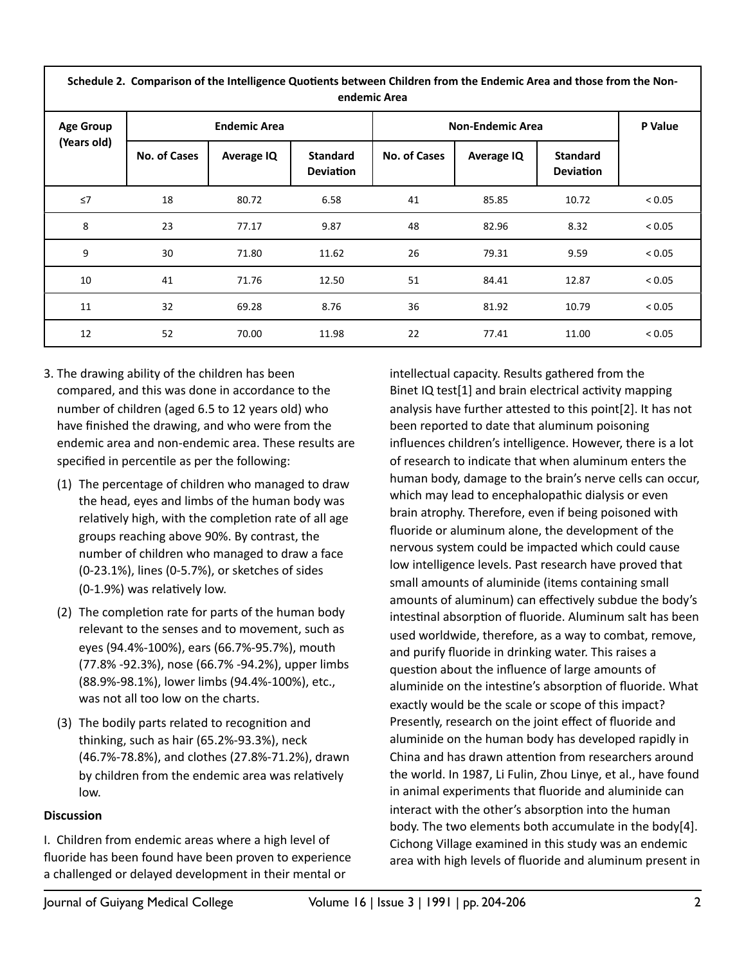| Schedule 2. Comparison of the Intelligence Quotients between Children from the Endemic Area and those from the Non-<br>endemic Area |                     |                   |                                     |                         |                   |                                     |         |
|-------------------------------------------------------------------------------------------------------------------------------------|---------------------|-------------------|-------------------------------------|-------------------------|-------------------|-------------------------------------|---------|
| <b>Age Group</b><br>(Years old)                                                                                                     | <b>Endemic Area</b> |                   |                                     | <b>Non-Endemic Area</b> |                   |                                     | P Value |
|                                                                                                                                     | <b>No. of Cases</b> | <b>Average IQ</b> | <b>Standard</b><br><b>Deviation</b> | <b>No. of Cases</b>     | <b>Average IQ</b> | <b>Standard</b><br><b>Deviation</b> |         |
| ≤7                                                                                                                                  | 18                  | 80.72             | 6.58                                | 41                      | 85.85             | 10.72                               | < 0.05  |
| 8                                                                                                                                   | 23                  | 77.17             | 9.87                                | 48                      | 82.96             | 8.32                                | < 0.05  |
| 9                                                                                                                                   | 30                  | 71.80             | 11.62                               | 26                      | 79.31             | 9.59                                | < 0.05  |
| 10                                                                                                                                  | 41                  | 71.76             | 12.50                               | 51                      | 84.41             | 12.87                               | < 0.05  |
| 11                                                                                                                                  | 32                  | 69.28             | 8.76                                | 36                      | 81.92             | 10.79                               | < 0.05  |
| 12                                                                                                                                  | 52                  | 70.00             | 11.98                               | 22                      | 77.41             | 11.00                               | < 0.05  |

- 3. The drawing ability of the children has been compared, and this was done in accordance to the number of children (aged 6.5 to 12 years old) who have finished the drawing, and who were from the endemic area and non-endemic area. These results are specified in percentile as per the following:
	- (1) The percentage of children who managed to draw the head, eyes and limbs of the human body was relatively high, with the completion rate of all age groups reaching above 90%. By contrast, the number of children who managed to draw a face (0-23.1%), lines (0-5.7%), or sketches of sides  $(0-1.9%)$  was relatively low.
	- (2) The completion rate for parts of the human body relevant to the senses and to movement, such as eyes (94.4%-100%), ears (66.7%-95.7%), mouth (77.8% -92.3%), nose (66.7% -94.2%), upper limbs (88.9%-98.1%), lower limbs (94.4%-100%), etc., was not all too low on the charts.
	- (3) The bodily parts related to recognition and thinking, such as hair  $(65.2% - 93.3%)$ , neck (46.7%-78.8%), and clothes (27.8%-71.2%), drawn by children from the endemic area was relatively low.

#### **Discussion**

I. Children from endemic areas where a high level of fluoride has been found have been proven to experience a challenged or delayed development in their mental or

intellectual capacity. Results gathered from the Binet IQ test[1] and brain electrical activity mapping analysis have further attested to this point[2]. It has not been reported to date that aluminum poisoning influences children's intelligence. However, there is a lot of research to indicate that when aluminum enters the human body, damage to the brain's nerve cells can occur, which may lead to encephalopathic dialysis or even brain atrophy. Therefore, even if being poisoned with fluoride or aluminum alone, the development of the nervous system could be impacted which could cause low intelligence levels. Past research have proved that small amounts of aluminide (items containing small amounts of aluminum) can effectively subdue the body's intestinal absorption of fluoride. Aluminum salt has been used worldwide, therefore, as a way to combat, remove, and purify fluoride in drinking water. This raises a question about the influence of large amounts of aluminide on the intestine's absorption of fluoride. What exactly would be the scale or scope of this impact? Presently, research on the joint effect of fluoride and aluminide on the human body has developed rapidly in China and has drawn attention from researchers around the world. In 1987, Li Fulin, Zhou Linye, et al., have found in animal experiments that fluoride and aluminide can interact with the other's absorption into the human body. The two elements both accumulate in the body[4]. Cichong Village examined in this study was an endemic area with high levels of fluoride and aluminum present in